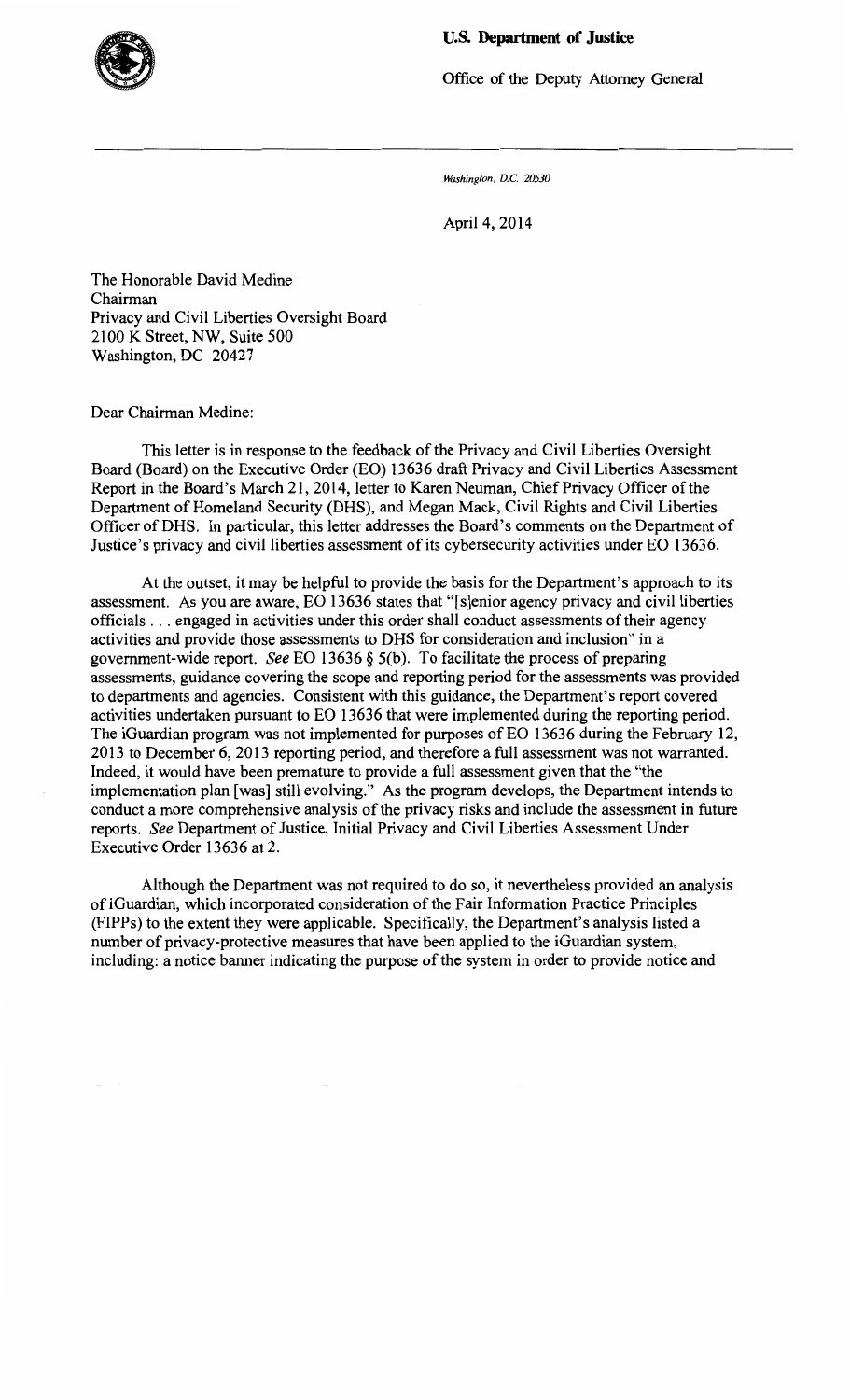## **U.S. Department of Justice**



Office of the Deputy Attorney General

*J#Jshington, D.C. 20530* 

April4, 2014

The Honorable David Medine Chairman Privacy and Civil Liberties Oversight Board 2100 K Street, NW, Suite 500 Washington, DC 20427

Dear Chairman Medine:

This letter is in response to the feedback of the Privacy and Civil Liberties Oversight Board (Board) on the Executive Order (EO) 13636 draft Privacy and Civil Liberties Assessment Report in the Board's March 21, 2014, letter to Karen Neuman, Chief Privacy Officer of the Department of Homeland Security (DHS), and Megan Mack, Civil Rights and Civil Liberties Officer of DHS. In particular, this letter addresses the Board's comments on the Department of Justice's privacy and civil liberties assessment of its cybersecurity activities under EO 13636.

At the outset, it may be helpful to provide the basis for the Department's approach to its assessment. As you are aware, EO 13636 states that "[s]enior agency privacy and civil liberties officials ... engaged in activities under this order shall conduct assessments of their agency activities and provide those assessments to DHS for consideration and inclusion" in a government-wide report. *See* EO 13636 § 5(b). To facilitate the process of preparing assessments, guidance covering the scope and reporting period for the assessments was provided to departments and agencies. Consistent with this guidance, the Department's report covered activities undertaken pursuant to EO 13636 that were implemented during the reporting period. The iGuardian program was not implemented for purposes of EO 13636 during the February 12, 2013 to December 6, 2013 reporting period, and therefore a full assessment was not warranted. Indeed, it would have been premature to provide a full assessment given that the "the implementation plan [was] still evolving." As the program develops, the Department intends to conduct a more comprehensive analysis of the privacy risks and include the assessment in future reports. *See* Department of Justice, Initial Privacy and Civil Liberties Assessment Under Executive Order 13636 at 2.

Although the Department was not required to do so, it nevertheless provided an analysis of iGuardian, which incorporated consideration of the Fair Information Practice Principles (FIPPs) to the extent they were applicable. Specifically, the Department's analysis listed a number of privacy-protective measures that have been applied to the iGuardian system, including: a notice banner indicating the purpose of the system in order to provide notice and